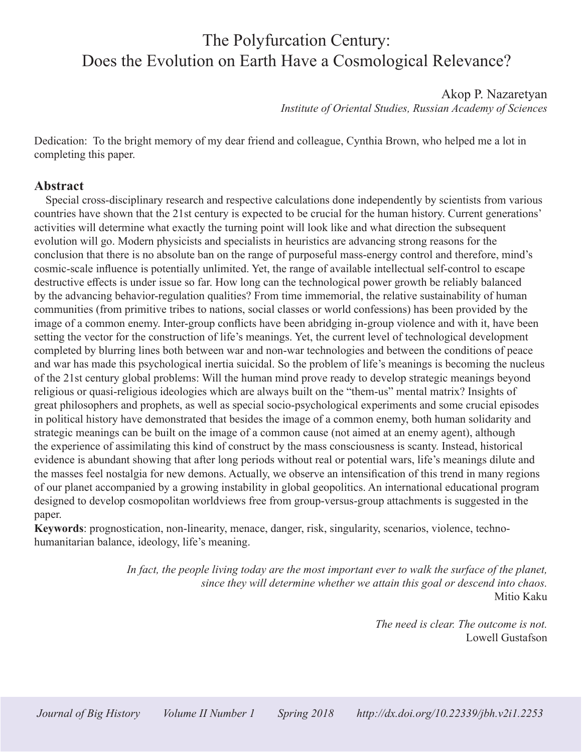# The Polyfurcation Century: Does the Evolution on Earth Have a Cosmological Relevance?

Akop P. Nazaretyan *Institute of Oriental Studies, Russian Academy of Sciences* 

Dedication: To the bright memory of my dear friend and colleague, Cynthia Brown, who helped me a lot in completing this paper.

#### **Abstract**

Special cross-disciplinary research and respective calculations done independently by scientists from various countries have shown that the 21st century is expected to be crucial for the human history. Current generations' activities will determine what exactly the turning point will look like and what direction the subsequent evolution will go. Modern physicists and specialists in heuristics are advancing strong reasons for the conclusion that there is no absolute ban on the range of purposeful mass-energy control and therefore, mind's cosmic-scale influence is potentially unlimited. Yet, the range of available intellectual self-control to escape destructive effects is under issue so far. How long can the technological power growth be reliably balanced by the advancing behavior-regulation qualities? From time immemorial, the relative sustainability of human communities (from primitive tribes to nations, social classes or world confessions) has been provided by the image of a common enemy. Inter-group conflicts have been abridging in-group violence and with it, have been setting the vector for the construction of life's meanings. Yet, the current level of technological development completed by blurring lines both between war and non-war technologies and between the conditions of peace and war has made this psychological inertia suicidal. So the problem of life's meanings is becoming the nucleus of the 21st century global problems: Will the human mind prove ready to develop strategic meanings beyond religious or quasi-religious ideologies which are always built on the "them-us" mental matrix? Insights of great philosophers and prophets, as well as special socio-psychological experiments and some crucial episodes in political history have demonstrated that besides the image of a common enemy, both human solidarity and strategic meanings can be built on the image of a common cause (not aimed at an enemy agent), although the experience of assimilating this kind of construct by the mass consciousness is scanty. Instead, historical evidence is abundant showing that after long periods without real or potential wars, life's meanings dilute and the masses feel nostalgia for new demons. Actually, we observe an intensification of this trend in many regions of our planet accompanied by a growing instability in global geopolitics. An international educational program designed to develop cosmopolitan worldviews free from group-versus-group attachments is suggested in the paper.

**Keywords**: prognostication, non-linearity, menace, danger, risk, singularity, scenarios, violence, technohumanitarian balance, ideology, life's meaning.

> *In fact, the people living today are the most important ever to walk the surface of the planet, since they will determine whether we attain this goal or descend into chaos.* Mitio Kaku

> > *The need is clear. The outcome is not.* Lowell Gustafson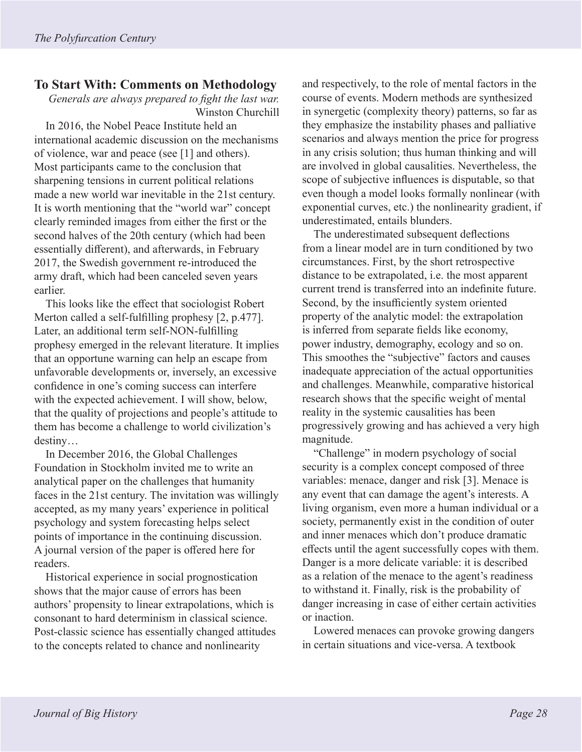## **To Start With: Comments on Methodology**

*Generals are always prepared to fight the last war.* Winston Churchill

In 2016, the Nobel Peace Institute held an international academic discussion on the mechanisms of violence, war and peace (see [1] and others). Most participants came to the conclusion that sharpening tensions in current political relations made a new world war inevitable in the 21st century. It is worth mentioning that the "world war" concept clearly reminded images from either the first or the second halves of the 20th century (which had been essentially different), and afterwards, in February 2017, the Swedish government re-introduced the army draft, which had been canceled seven years earlier.

This looks like the effect that sociologist Robert Merton called a self-fulfilling prophesy [2, p.477]. Later, an additional term self-NON-fulfilling prophesy emerged in the relevant literature. It implies that an opportune warning can help an escape from unfavorable developments or, inversely, an excessive confidence in one's coming success can interfere with the expected achievement. I will show, below, that the quality of projections and people's attitude to them has become a challenge to world civilization's destiny…

In December 2016, the Global Challenges Foundation in Stockholm invited me to write an analytical paper on the challenges that humanity faces in the 21st century. The invitation was willingly accepted, as my many years' experience in political psychology and system forecasting helps select points of importance in the continuing discussion. A journal version of the paper is offered here for readers.

Historical experience in social prognostication shows that the major cause of errors has been authors' propensity to linear extrapolations, which is consonant to hard determinism in classical science. Post-classic science has essentially changed attitudes to the concepts related to chance and nonlinearity

and respectively, to the role of mental factors in the course of events. Modern methods are synthesized in synergetic (complexity theory) patterns, so far as they emphasize the instability phases and palliative scenarios and always mention the price for progress in any crisis solution; thus human thinking and will are involved in global causalities. Nevertheless, the scope of subjective influences is disputable, so that even though a model looks formally nonlinear (with exponential curves, etc.) the nonlinearity gradient, if underestimated, entails blunders.

The underestimated subsequent deflections from a linear model are in turn conditioned by two circumstances. First, by the short retrospective distance to be extrapolated, i.e. the most apparent current trend is transferred into an indefinite future. Second, by the insufficiently system oriented property of the analytic model: the extrapolation is inferred from separate fields like economy, power industry, demography, ecology and so on. This smoothes the "subjective" factors and causes inadequate appreciation of the actual opportunities and challenges. Meanwhile, comparative historical research shows that the specific weight of mental reality in the systemic causalities has been progressively growing and has achieved a very high magnitude.

"Challenge" in modern psychology of social security is a complex concept composed of three variables: menace, danger and risk [3]. Menace is any event that can damage the agent's interests. A living organism, even more a human individual or a society, permanently exist in the condition of outer and inner menaces which don't produce dramatic effects until the agent successfully copes with them. Danger is a more delicate variable: it is described as a relation of the menace to the agent's readiness to withstand it. Finally, risk is the probability of danger increasing in case of either certain activities or inaction.

Lowered menaces can provoke growing dangers in certain situations and vice-versa. A textbook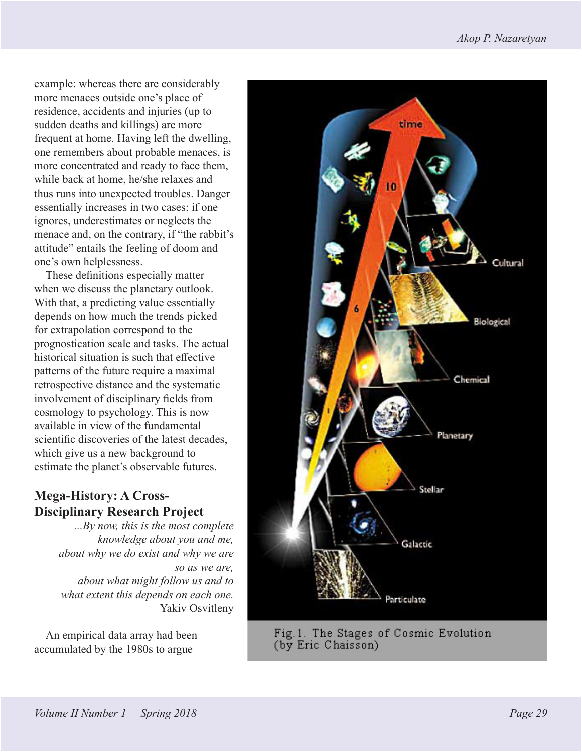example: whereas there are considerably more menaces outside one's place of residence, accidents and injuries (up to sudden deaths and killings) are more frequent at home. Having left the dwelling, one remembers about probable menaces, is more concentrated and ready to face them, while back at home, he/she relaxes and thus runs into unexpected troubles. Danger essentially increases in two cases: if one ignores, underestimates or neglects the menace and, on the contrary, if "the rabbit's attitude" entails the feeling of doom and one's own helplessness.

These definitions especially matter when we discuss the planetary outlook. With that, a predicting value essentially depends on how much the trends picked for extrapolation correspond to the prognostication scale and tasks. The actual historical situation is such that effective patterns of the future require a maximal retrospective distance and the systematic involvement of disciplinary fields from cosmology to psychology. This is now available in view of the fundamental scientific discoveries of the latest decades, which give us a new background to estimate the planet's observable futures.

## **Mega-History: A Cross-Disciplinary Research Project**

*...By now, this is the most complete knowledge about you and me, about why we do exist and why we are so as we are, about what might follow us and to what extent this depends on each one.* Yakiv Osvitleny

An empirical data array had been accumulated by the 1980s to argue



Fig.1. The Stages of Cosmic Evolution (by Eric Chaisson)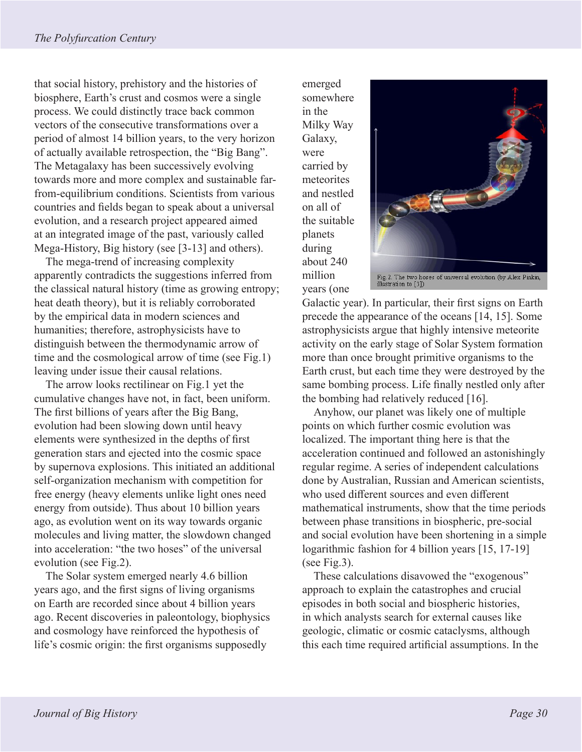that social history, prehistory and the histories of biosphere, Earth's crust and cosmos were a single process. We could distinctly trace back common vectors of the consecutive transformations over a period of almost 14 billion years, to the very horizon of actually available retrospection, the "Big Bang". The Metagalaxy has been successively evolving towards more and more complex and sustainable farfrom-equilibrium conditions. Scientists from various countries and fields began to speak about a universal evolution, and a research project appeared aimed at an integrated image of the past, variously called Mega-History, Big history (see [3-13] and others).

The mega-trend of increasing complexity apparently contradicts the suggestions inferred from the classical natural history (time as growing entropy; heat death theory), but it is reliably corroborated by the empirical data in modern sciences and humanities; therefore, astrophysicists have to distinguish between the thermodynamic arrow of time and the cosmological arrow of time (see Fig.1) leaving under issue their causal relations.

The arrow looks rectilinear on Fig.1 yet the cumulative changes have not, in fact, been uniform. The first billions of years after the Big Bang, evolution had been slowing down until heavy elements were synthesized in the depths of first generation stars and ejected into the cosmic space by supernova explosions. This initiated an additional self-organization mechanism with competition for free energy (heavy elements unlike light ones need energy from outside). Thus about 10 billion years ago, as evolution went on its way towards organic molecules and living matter, the slowdown changed into acceleration: "the two hoses" of the universal evolution (see Fig.2).

The Solar system emerged nearly 4.6 billion years ago, and the first signs of living organisms on Earth are recorded since about 4 billion years ago. Recent discoveries in paleontology, biophysics and cosmology have reinforced the hypothesis of life's cosmic origin: the first organisms supposedly

emerged somewhere in the Milky Way Galaxy, were carried by meteorites and nestled on all of the suitable planets during about 240 million years (one



Galactic year). In particular, their first signs on Earth precede the appearance of the oceans [14, 15]. Some astrophysicists argue that highly intensive meteorite activity on the early stage of Solar System formation more than once brought primitive organisms to the Earth crust, but each time they were destroyed by the same bombing process. Life finally nestled only after the bombing had relatively reduced [16].

Anyhow, our planet was likely one of multiple points on which further cosmic evolution was localized. The important thing here is that the acceleration continued and followed an astonishingly regular regime. A series of independent calculations done by Australian, Russian and American scientists, who used different sources and even different mathematical instruments, show that the time periods between phase transitions in biospheric, pre-social and social evolution have been shortening in a simple logarithmic fashion for 4 billion years [15, 17-19] (see Fig.3).

These calculations disavowed the "exogenous" approach to explain the catastrophes and crucial episodes in both social and biospheric histories, in which analysts search for external causes like geologic, climatic or cosmic cataclysms, although this each time required artificial assumptions. In the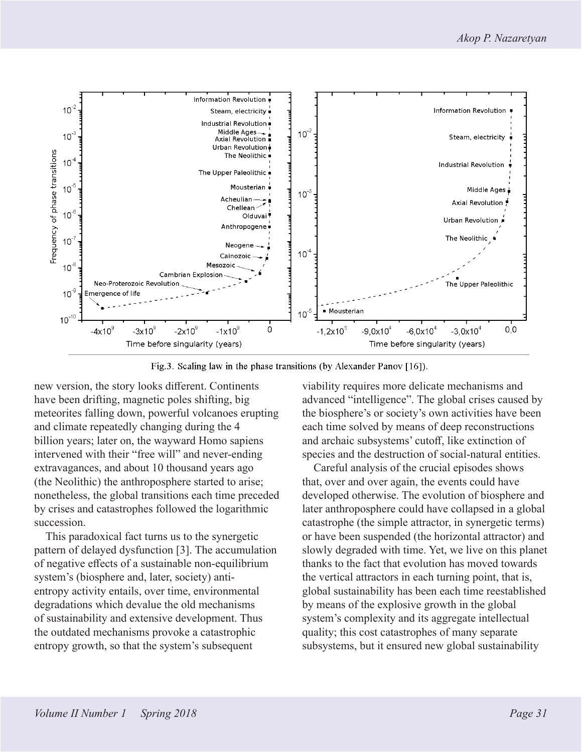

Fig.3. Scaling law in the phase transitions (by Alexander Panov [16]).

new version, the story looks different. Continents have been drifting, magnetic poles shifting, big meteorites falling down, powerful volcanoes erupting and climate repeatedly changing during the 4 billion years; later on, the wayward Homo sapiens intervened with their "free will" and never-ending extravagances, and about 10 thousand years ago (the Neolithic) the anthroposphere started to arise; nonetheless, the global transitions each time preceded by crises and catastrophes followed the logarithmic succession.

This paradoxical fact turns us to the synergetic pattern of delayed dysfunction [3]. The accumulation of negative effects of a sustainable non-equilibrium system's (biosphere and, later, society) antientropy activity entails, over time, environmental degradations which devalue the old mechanisms of sustainability and extensive development. Thus the outdated mechanisms provoke a catastrophic entropy growth, so that the system's subsequent

viability requires more delicate mechanisms and advanced "intelligence". The global crises caused by the biosphere's or society's own activities have been each time solved by means of deep reconstructions and archaic subsystems' cutoff, like extinction of species and the destruction of social-natural entities.

Careful analysis of the crucial episodes shows that, over and over again, the events could have developed otherwise. The evolution of biosphere and later anthroposphere could have collapsed in a global catastrophe (the simple attractor, in synergetic terms) or have been suspended (the horizontal attractor) and slowly degraded with time. Yet, we live on this planet thanks to the fact that evolution has moved towards the vertical attractors in each turning point, that is, global sustainability has been each time reestablished by means of the explosive growth in the global system's complexity and its aggregate intellectual quality; this cost catastrophes of many separate subsystems, but it ensured new global sustainability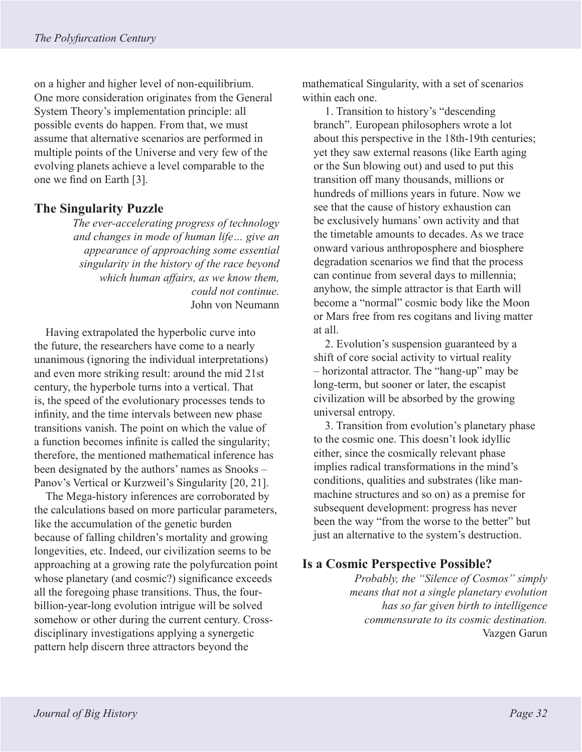on a higher and higher level of non-equilibrium. One more consideration originates from the General System Theory's implementation principle: all possible events do happen. From that, we must assume that alternative scenarios are performed in multiple points of the Universe and very few of the evolving planets achieve a level comparable to the one we find on Earth [3].

### **The Singularity Puzzle**

*The ever-accelerating progress of technology and changes in mode of human life… give an appearance of approaching some essential singularity in the history of the race beyond which human affairs, as we know them, could not continue.* John von Neumann

Having extrapolated the hyperbolic curve into the future, the researchers have come to a nearly unanimous (ignoring the individual interpretations) and even more striking result: around the mid 21st century, the hyperbole turns into a vertical. That is, the speed of the evolutionary processes tends to infinity, and the time intervals between new phase transitions vanish. The point on which the value of a function becomes infinite is called the singularity; therefore, the mentioned mathematical inference has been designated by the authors' names as Snooks – Panov's Vertical or Kurzweil's Singularity [20, 21].

The Mega-history inferences are corroborated by the calculations based on more particular parameters, like the accumulation of the genetic burden because of falling children's mortality and growing longevities, etc. Indeed, our civilization seems to be approaching at a growing rate the polyfurcation point whose planetary (and cosmic?) significance exceeds all the foregoing phase transitions. Thus, the fourbillion-year-long evolution intrigue will be solved somehow or other during the current century. Crossdisciplinary investigations applying a synergetic pattern help discern three attractors beyond the

mathematical Singularity, with a set of scenarios within each one.

1. Transition to history's "descending branch". European philosophers wrote a lot about this perspective in the 18th-19th centuries; yet they saw external reasons (like Earth aging or the Sun blowing out) and used to put this transition off many thousands, millions or hundreds of millions years in future. Now we see that the cause of history exhaustion can be exclusively humans' own activity and that the timetable amounts to decades. As we trace onward various anthroposphere and biosphere degradation scenarios we find that the process can continue from several days to millennia; anyhow, the simple attractor is that Earth will become a "normal" cosmic body like the Moon or Mars free from res cogitans and living matter at all.

2. Evolution's suspension guaranteed by a shift of core social activity to virtual reality – horizontal attractor. The "hang-up" may be long-term, but sooner or later, the escapist civilization will be absorbed by the growing universal entropy.

3. Transition from evolution's planetary phase to the cosmic one. This doesn't look idyllic either, since the cosmically relevant phase implies radical transformations in the mind's conditions, qualities and substrates (like manmachine structures and so on) as a premise for subsequent development: progress has never been the way "from the worse to the better" but just an alternative to the system's destruction.

## **Is a Cosmic Perspective Possible?**

*Probably, the "Silence of Cosmos" simply means that not a single planetary evolution has so far given birth to intelligence commensurate to its cosmic destination.* Vazgen Garun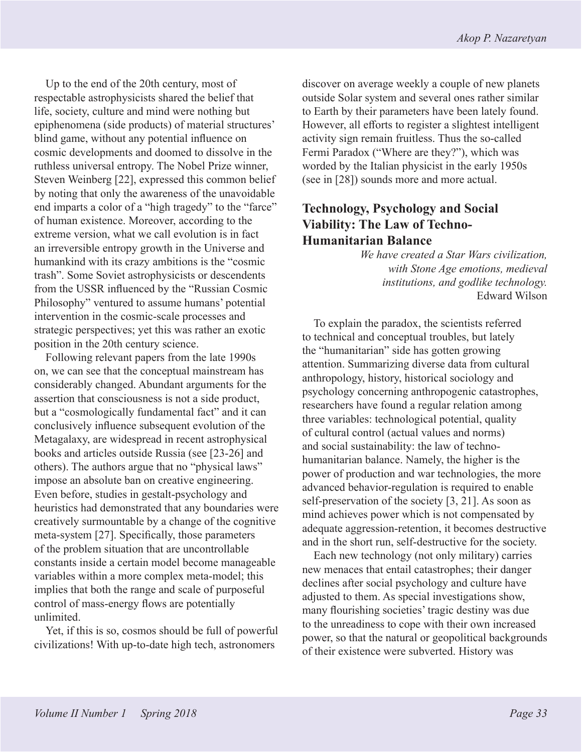Up to the end of the 20th century, most of respectable astrophysicists shared the belief that life, society, culture and mind were nothing but epiphenomena (side products) of material structures' blind game, without any potential influence on cosmic developments and doomed to dissolve in the ruthless universal entropy. The Nobel Prize winner, Steven Weinberg [22], expressed this common belief by noting that only the awareness of the unavoidable end imparts a color of a "high tragedy" to the "farce" of human existence. Moreover, according to the extreme version, what we call evolution is in fact an irreversible entropy growth in the Universe and humankind with its crazy ambitions is the "cosmic trash". Some Soviet astrophysicists or descendents from the USSR influenced by the "Russian Cosmic Philosophy" ventured to assume humans' potential intervention in the cosmic-scale processes and strategic perspectives; yet this was rather an exotic position in the 20th century science.

Following relevant papers from the late 1990s on, we can see that the conceptual mainstream has considerably changed. Abundant arguments for the assertion that consciousness is not a side product, but a "cosmologically fundamental fact" and it can conclusively influence subsequent evolution of the Metagalaxy, are widespread in recent astrophysical books and articles outside Russia (see [23-26] and others). The authors argue that no "physical laws" impose an absolute ban on creative engineering. Even before, studies in gestalt-psychology and heuristics had demonstrated that any boundaries were creatively surmountable by a change of the cognitive meta-system [27]. Specifically, those parameters of the problem situation that are uncontrollable constants inside a certain model become manageable variables within a more complex meta-model; this implies that both the range and scale of purposeful control of mass-energy flows are potentially unlimited.

Yet, if this is so, cosmos should be full of powerful civilizations! With up-to-date high tech, astronomers

discover on average weekly a couple of new planets outside Solar system and several ones rather similar to Earth by their parameters have been lately found. However, all efforts to register a slightest intelligent activity sign remain fruitless. Thus the so-called Fermi Paradox ("Where are they?"), which was worded by the Italian physicist in the early 1950s (see in [28]) sounds more and more actual.

## **Technology, Psychology and Social Viability: The Law of Techno-Humanitarian Balance**

*We have created a Star Wars civilization, with Stone Age emotions, medieval institutions, and godlike technology.* Edward Wilson

To explain the paradox, the scientists referred to technical and conceptual troubles, but lately the "humanitarian" side has gotten growing attention. Summarizing diverse data from cultural anthropology, history, historical sociology and psychology concerning anthropogenic catastrophes, researchers have found a regular relation among three variables: technological potential, quality of cultural control (actual values and norms) and social sustainability: the law of technohumanitarian balance. Namely, the higher is the power of production and war technologies, the more advanced behavior-regulation is required to enable self-preservation of the society [3, 21]. As soon as mind achieves power which is not compensated by adequate aggression-retention, it becomes destructive and in the short run, self-destructive for the society.

Each new technology (not only military) carries new menaces that entail catastrophes; their danger declines after social psychology and culture have adjusted to them. As special investigations show, many flourishing societies' tragic destiny was due to the unreadiness to cope with their own increased power, so that the natural or geopolitical backgrounds of their existence were subverted. History was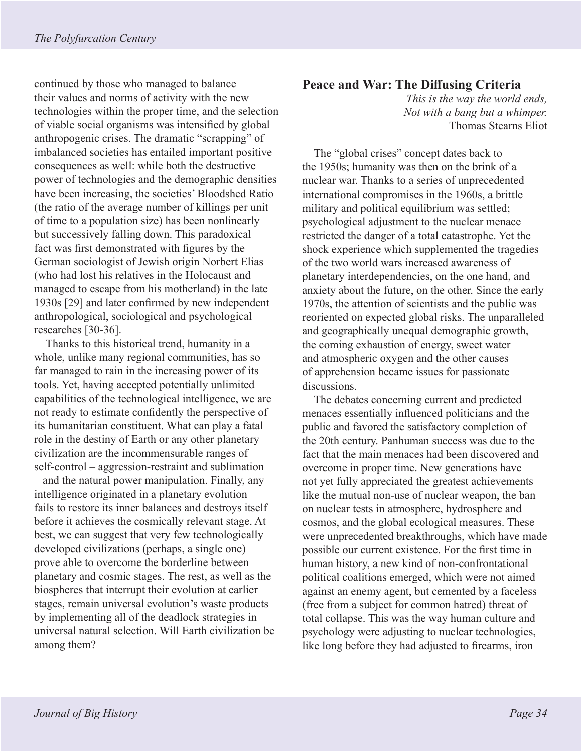continued by those who managed to balance their values and norms of activity with the new technologies within the proper time, and the selection of viable social organisms was intensified by global anthropogenic crises. The dramatic "scrapping" of imbalanced societies has entailed important positive consequences as well: while both the destructive power of technologies and the demographic densities have been increasing, the societies' Bloodshed Ratio (the ratio of the average number of killings per unit of time to a population size) has been nonlinearly but successively falling down. This paradoxical fact was first demonstrated with figures by the German sociologist of Jewish origin Norbert Elias (who had lost his relatives in the Holocaust and managed to escape from his motherland) in the late 1930s [29] and later confirmed by new independent anthropological, sociological and psychological researches [30-36].

Thanks to this historical trend, humanity in a whole, unlike many regional communities, has so far managed to rain in the increasing power of its tools. Yet, having accepted potentially unlimited capabilities of the technological intelligence, we are not ready to estimate confidently the perspective of its humanitarian constituent. What can play a fatal role in the destiny of Earth or any other planetary civilization are the incommensurable ranges of self-control – aggression-restraint and sublimation – and the natural power manipulation. Finally, any intelligence originated in a planetary evolution fails to restore its inner balances and destroys itself before it achieves the cosmically relevant stage. At best, we can suggest that very few technologically developed civilizations (perhaps, a single one) prove able to overcome the borderline between planetary and cosmic stages. The rest, as well as the biospheres that interrupt their evolution at earlier stages, remain universal evolution's waste products by implementing all of the deadlock strategies in universal natural selection. Will Earth civilization be among them?

#### **Peace and War: The Diffusing Criteria**

*This is the way the world ends, Not with a bang but a whimper.* Thomas Stearns Eliot

The "global crises" concept dates back to the 1950s; humanity was then on the brink of a nuclear war. Thanks to a series of unprecedented international compromises in the 1960s, a brittle military and political equilibrium was settled; psychological adjustment to the nuclear menace restricted the danger of a total catastrophe. Yet the shock experience which supplemented the tragedies of the two world wars increased awareness of planetary interdependencies, on the one hand, and anxiety about the future, on the other. Since the early 1970s, the attention of scientists and the public was reoriented on expected global risks. The unparalleled and geographically unequal demographic growth, the coming exhaustion of energy, sweet water and atmospheric oxygen and the other causes of apprehension became issues for passionate discussions.

The debates concerning current and predicted menaces essentially influenced politicians and the public and favored the satisfactory completion of the 20th century. Panhuman success was due to the fact that the main menaces had been discovered and overcome in proper time. New generations have not yet fully appreciated the greatest achievements like the mutual non-use of nuclear weapon, the ban on nuclear tests in atmosphere, hydrosphere and cosmos, and the global ecological measures. These were unprecedented breakthroughs, which have made possible our current existence. For the first time in human history, a new kind of non-confrontational political coalitions emerged, which were not aimed against an enemy agent, but cemented by a faceless (free from a subject for common hatred) threat of total collapse. This was the way human culture and psychology were adjusting to nuclear technologies, like long before they had adjusted to firearms, iron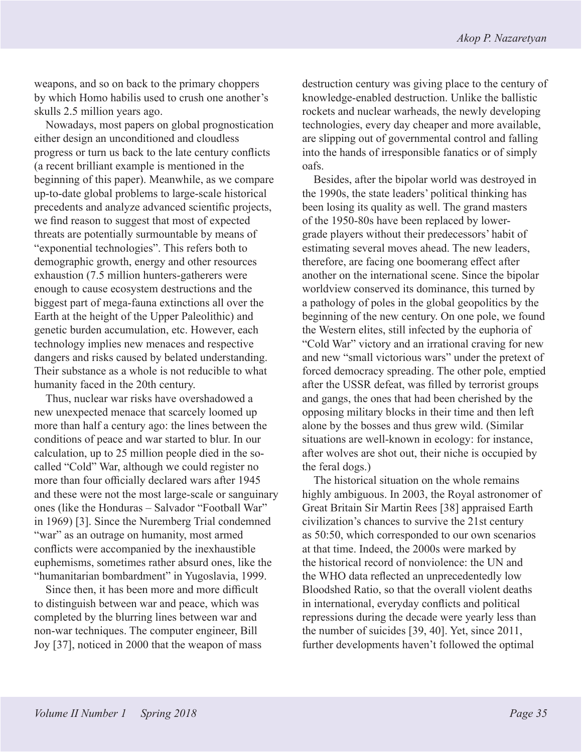weapons, and so on back to the primary choppers by which Homo habilis used to crush one another's skulls 2.5 million years ago.

Nowadays, most papers on global prognostication either design an unconditioned and cloudless progress or turn us back to the late century conflicts (a recent brilliant example is mentioned in the beginning of this paper). Meanwhile, as we compare up-to-date global problems to large-scale historical precedents and analyze advanced scientific projects, we find reason to suggest that most of expected threats are potentially surmountable by means of "exponential technologies". This refers both to demographic growth, energy and other resources exhaustion (7.5 million hunters-gatherers were enough to cause ecosystem destructions and the biggest part of mega-fauna extinctions all over the Earth at the height of the Upper Paleolithic) and genetic burden accumulation, etc. However, each technology implies new menaces and respective dangers and risks caused by belated understanding. Their substance as a whole is not reducible to what humanity faced in the 20th century.

Thus, nuclear war risks have overshadowed a new unexpected menace that scarcely loomed up more than half a century ago: the lines between the conditions of peace and war started to blur. In our calculation, up to 25 million people died in the socalled "Cold" War, although we could register no more than four officially declared wars after 1945 and these were not the most large-scale or sanguinary ones (like the Honduras – Salvador "Football War" in 1969) [3]. Since the Nuremberg Trial condemned "war" as an outrage on humanity, most armed conflicts were accompanied by the inexhaustible euphemisms, sometimes rather absurd ones, like the "humanitarian bombardment" in Yugoslavia, 1999.

Since then, it has been more and more difficult to distinguish between war and peace, which was completed by the blurring lines between war and non-war techniques. The computer engineer, Bill Joy [37], noticed in 2000 that the weapon of mass destruction century was giving place to the century of knowledge-enabled destruction. Unlike the ballistic rockets and nuclear warheads, the newly developing technologies, every day cheaper and more available, are slipping out of governmental control and falling into the hands of irresponsible fanatics or of simply oafs.

Besides, after the bipolar world was destroyed in the 1990s, the state leaders' political thinking has been losing its quality as well. The grand masters of the 1950-80s have been replaced by lowergrade players without their predecessors' habit of estimating several moves ahead. The new leaders, therefore, are facing one boomerang effect after another on the international scene. Since the bipolar worldview conserved its dominance, this turned by a pathology of poles in the global geopolitics by the beginning of the new century. On one pole, we found the Western elites, still infected by the euphoria of "Cold War" victory and an irrational craving for new and new "small victorious wars" under the pretext of forced democracy spreading. The other pole, emptied after the USSR defeat, was filled by terrorist groups and gangs, the ones that had been cherished by the opposing military blocks in their time and then left alone by the bosses and thus grew wild. (Similar situations are well-known in ecology: for instance, after wolves are shot out, their niche is occupied by the feral dogs.)

The historical situation on the whole remains highly ambiguous. In 2003, the Royal astronomer of Great Britain Sir Martin Rees [38] appraised Earth civilization's chances to survive the 21st century as 50:50, which corresponded to our own scenarios at that time. Indeed, the 2000s were marked by the historical record of nonviolence: the UN and the WHO data reflected an unprecedentedly low Bloodshed Ratio, so that the overall violent deaths in international, everyday conflicts and political repressions during the decade were yearly less than the number of suicides [39, 40]. Yet, since 2011, further developments haven't followed the optimal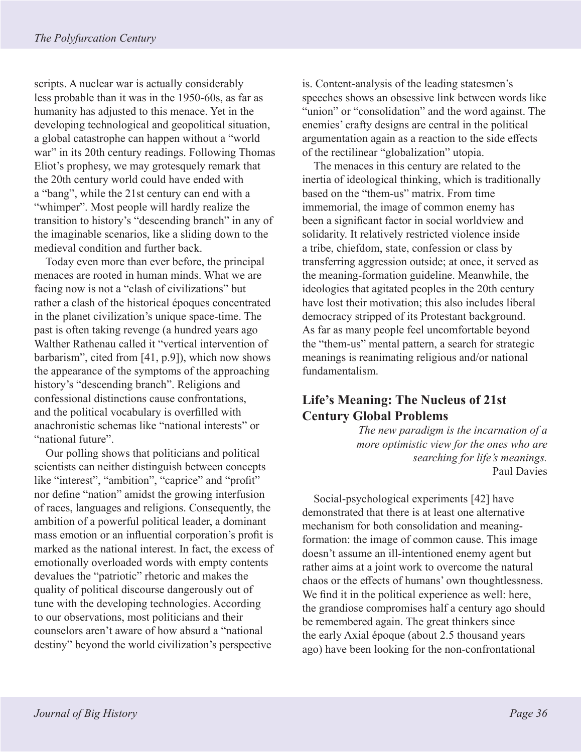scripts. A nuclear war is actually considerably less probable than it was in the 1950-60s, as far as humanity has adjusted to this menace. Yet in the developing technological and geopolitical situation, a global catastrophe can happen without a "world war" in its 20th century readings. Following Thomas Eliot's prophesy, we may grotesquely remark that the 20th century world could have ended with a "bang", while the 21st century can end with a "whimper". Most people will hardly realize the transition to history's "descending branch" in any of the imaginable scenarios, like a sliding down to the medieval condition and further back.

Today even more than ever before, the principal menaces are rooted in human minds. What we are facing now is not a "clash of civilizations" but rather a clash of the historical époques concentrated in the planet civilization's unique space-time. The past is often taking revenge (a hundred years ago Walther Rathenau called it "vertical intervention of barbarism", cited from [41, p.9]), which now shows the appearance of the symptoms of the approaching history's "descending branch". Religions and confessional distinctions cause confrontations, and the political vocabulary is overfilled with anachronistic schemas like "national interests" or "national future".

Our polling shows that politicians and political scientists can neither distinguish between concepts like "interest", "ambition", "caprice" and "profit" nor define "nation" amidst the growing interfusion of races, languages and religions. Consequently, the ambition of a powerful political leader, a dominant mass emotion or an influential corporation's profit is marked as the national interest. In fact, the excess of emotionally overloaded words with empty contents devalues the "patriotic" rhetoric and makes the quality of political discourse dangerously out of tune with the developing technologies. According to our observations, most politicians and their counselors aren't aware of how absurd a "national destiny" beyond the world civilization's perspective

is. Content-analysis of the leading statesmen's speeches shows an obsessive link between words like "union" or "consolidation" and the word against. The enemies' crafty designs are central in the political argumentation again as a reaction to the side effects of the rectilinear "globalization" utopia.

The menaces in this century are related to the inertia of ideological thinking, which is traditionally based on the "them-us" matrix. From time immemorial, the image of common enemy has been a significant factor in social worldview and solidarity. It relatively restricted violence inside a tribe, chiefdom, state, confession or class by transferring aggression outside; at once, it served as the meaning-formation guideline. Meanwhile, the ideologies that agitated peoples in the 20th century have lost their motivation; this also includes liberal democracy stripped of its Protestant background. As far as many people feel uncomfortable beyond the "them-us" mental pattern, a search for strategic meanings is reanimating religious and/or national fundamentalism.

## **Life's Meaning: The Nucleus of 21st Century Global Problems**

*The new paradigm is the incarnation of a more optimistic view for the ones who are searching for life's meanings.* Paul Davies

Social-psychological experiments [42] have demonstrated that there is at least one alternative mechanism for both consolidation and meaningformation: the image of common cause. This image doesn't assume an ill-intentioned enemy agent but rather aims at a joint work to overcome the natural chaos or the effects of humans' own thoughtlessness. We find it in the political experience as well: here, the grandiose compromises half a century ago should be remembered again. The great thinkers since the early Axial époque (about 2.5 thousand years ago) have been looking for the non-confrontational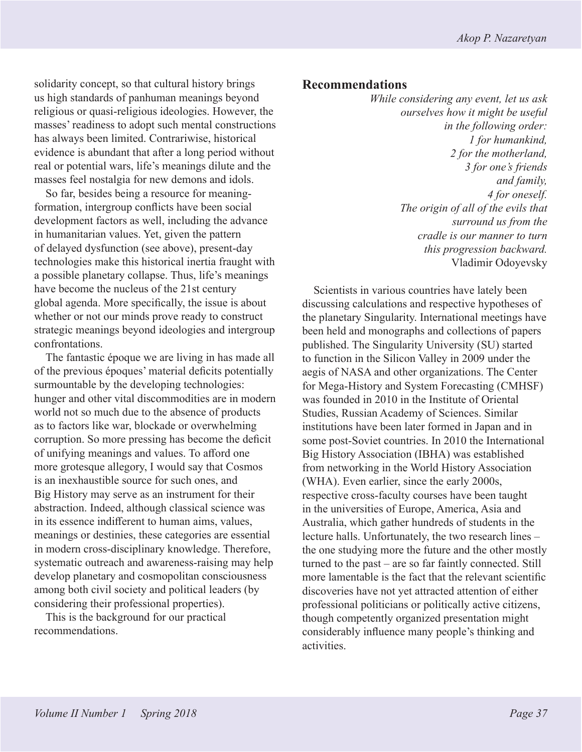solidarity concept, so that cultural history brings us high standards of panhuman meanings beyond religious or quasi-religious ideologies. However, the masses' readiness to adopt such mental constructions has always been limited. Contrariwise, historical evidence is abundant that after a long period without real or potential wars, life's meanings dilute and the masses feel nostalgia for new demons and idols.

So far, besides being a resource for meaningformation, intergroup conflicts have been social development factors as well, including the advance in humanitarian values. Yet, given the pattern of delayed dysfunction (see above), present-day technologies make this historical inertia fraught with a possible planetary collapse. Thus, life's meanings have become the nucleus of the 21st century global agenda. More specifically, the issue is about whether or not our minds prove ready to construct strategic meanings beyond ideologies and intergroup confrontations.

The fantastic époque we are living in has made all of the previous époques' material deficits potentially surmountable by the developing technologies: hunger and other vital discommodities are in modern world not so much due to the absence of products as to factors like war, blockade or overwhelming corruption. So more pressing has become the deficit of unifying meanings and values. To afford one more grotesque allegory, I would say that Cosmos is an inexhaustible source for such ones, and Big History may serve as an instrument for their abstraction. Indeed, although classical science was in its essence indifferent to human aims, values, meanings or destinies, these categories are essential in modern cross-disciplinary knowledge. Therefore, systematic outreach and awareness-raising may help develop planetary and cosmopolitan consciousness among both civil society and political leaders (by considering their professional properties).

This is the background for our practical recommendations.

#### **Recommendations**

*While considering any event, let us ask ourselves how it might be useful in the following order: 1 for humankind, 2 for the motherland, 3 for one's friends and family, 4 for oneself. The origin of all of the evils that surround us from the cradle is our manner to turn this progression backward.* Vladimir Odoyevsky

Scientists in various countries have lately been discussing calculations and respective hypotheses of the planetary Singularity. International meetings have been held and monographs and collections of papers published. The Singularity University (SU) started to function in the Silicon Valley in 2009 under the aegis of NASA and other organizations. The Center for Mega-History and System Forecasting (CMHSF) was founded in 2010 in the Institute of Oriental Studies, Russian Academy of Sciences. Similar institutions have been later formed in Japan and in some post-Soviet countries. In 2010 the International Big History Association (IBHA) was established from networking in the World History Association (WHA). Even earlier, since the early 2000s, respective cross-faculty courses have been taught in the universities of Europe, America, Asia and Australia, which gather hundreds of students in the lecture halls. Unfortunately, the two research lines – the one studying more the future and the other mostly turned to the past – are so far faintly connected. Still more lamentable is the fact that the relevant scientific discoveries have not yet attracted attention of either professional politicians or politically active citizens, though competently organized presentation might considerably influence many people's thinking and activities.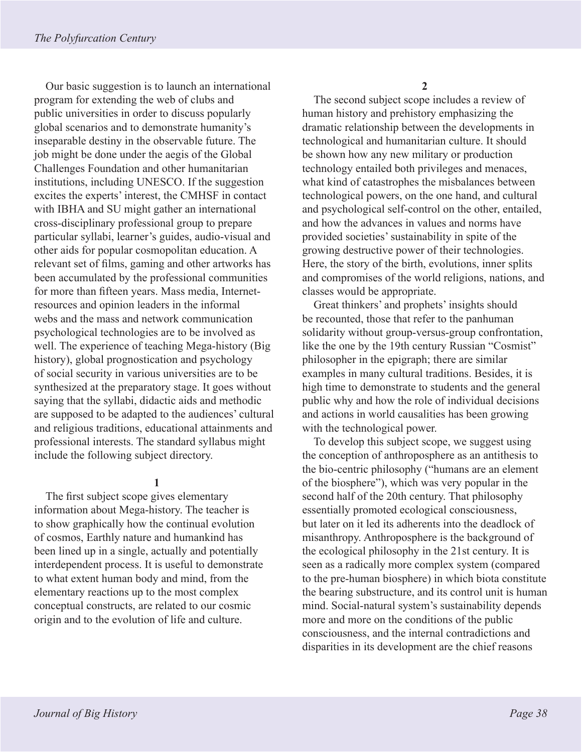Our basic suggestion is to launch an international program for extending the web of clubs and public universities in order to discuss popularly global scenarios and to demonstrate humanity's inseparable destiny in the observable future. The job might be done under the aegis of the Global Challenges Foundation and other humanitarian institutions, including UNESCO. If the suggestion excites the experts' interest, the CMHSF in contact with IBHA and SU might gather an international cross-disciplinary professional group to prepare particular syllabi, learner's guides, audio-visual and other aids for popular cosmopolitan education. A relevant set of films, gaming and other artworks has been accumulated by the professional communities for more than fifteen years. Mass media, Internetresources and opinion leaders in the informal webs and the mass and network communication psychological technologies are to be involved as well. The experience of teaching Mega-history (Big history), global prognostication and psychology of social security in various universities are to be synthesized at the preparatory stage. It goes without saying that the syllabi, didactic aids and methodic are supposed to be adapted to the audiences' cultural and religious traditions, educational attainments and professional interests. The standard syllabus might include the following subject directory.

#### **1**

The first subject scope gives elementary information about Mega-history. The teacher is to show graphically how the continual evolution of cosmos, Earthly nature and humankind has been lined up in a single, actually and potentially interdependent process. It is useful to demonstrate to what extent human body and mind, from the elementary reactions up to the most complex conceptual constructs, are related to our cosmic origin and to the evolution of life and culture.

**2**

The second subject scope includes a review of human history and prehistory emphasizing the dramatic relationship between the developments in technological and humanitarian culture. It should be shown how any new military or production technology entailed both privileges and menaces, what kind of catastrophes the misbalances between technological powers, on the one hand, and cultural and psychological self-control on the other, entailed, and how the advances in values and norms have provided societies' sustainability in spite of the growing destructive power of their technologies. Here, the story of the birth, evolutions, inner splits and compromises of the world religions, nations, and classes would be appropriate.

Great thinkers' and prophets' insights should be recounted, those that refer to the panhuman solidarity without group-versus-group confrontation, like the one by the 19th century Russian "Cosmist" philosopher in the epigraph; there are similar examples in many cultural traditions. Besides, it is high time to demonstrate to students and the general public why and how the role of individual decisions and actions in world causalities has been growing with the technological power.

To develop this subject scope, we suggest using the conception of anthroposphere as an antithesis to the bio-centric philosophy ("humans are an element of the biosphere"), which was very popular in the second half of the 20th century. That philosophy essentially promoted ecological consciousness, but later on it led its adherents into the deadlock of misanthropy. Anthroposphere is the background of the ecological philosophy in the 21st century. It is seen as a radically more complex system (compared to the pre-human biosphere) in which biota constitute the bearing substructure, and its control unit is human mind. Social-natural system's sustainability depends more and more on the conditions of the public consciousness, and the internal contradictions and disparities in its development are the chief reasons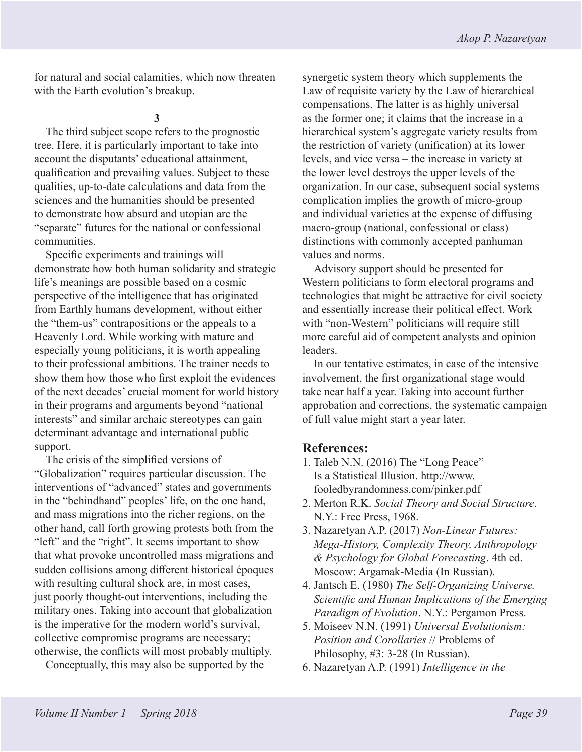for natural and social calamities, which now threaten with the Earth evolution's breakup.

**3**

The third subject scope refers to the prognostic tree. Here, it is particularly important to take into account the disputants' educational attainment, qualification and prevailing values. Subject to these qualities, up-to-date calculations and data from the sciences and the humanities should be presented to demonstrate how absurd and utopian are the "separate" futures for the national or confessional communities.

Specific experiments and trainings will demonstrate how both human solidarity and strategic life's meanings are possible based on a cosmic perspective of the intelligence that has originated from Earthly humans development, without either the "them-us" contrapositions or the appeals to a Heavenly Lord. While working with mature and especially young politicians, it is worth appealing to their professional ambitions. The trainer needs to show them how those who first exploit the evidences of the next decades' crucial moment for world history in their programs and arguments beyond "national interests" and similar archaic stereotypes can gain determinant advantage and international public support.

The crisis of the simplified versions of "Globalization" requires particular discussion. The interventions of "advanced" states and governments in the "behindhand" peoples' life, on the one hand, and mass migrations into the richer regions, on the other hand, call forth growing protests both from the "left" and the "right". It seems important to show that what provoke uncontrolled mass migrations and sudden collisions among different historical époques with resulting cultural shock are, in most cases, just poorly thought-out interventions, including the military ones. Taking into account that globalization is the imperative for the modern world's survival, collective compromise programs are necessary; otherwise, the conflicts will most probably multiply.

Conceptually, this may also be supported by the

synergetic system theory which supplements the Law of requisite variety by the Law of hierarchical compensations. The latter is as highly universal as the former one; it claims that the increase in a hierarchical system's aggregate variety results from the restriction of variety (unification) at its lower levels, and vice versa – the increase in variety at the lower level destroys the upper levels of the organization. In our case, subsequent social systems complication implies the growth of micro-group and individual varieties at the expense of diffusing macro-group (national, confessional or class) distinctions with commonly accepted panhuman values and norms.

Advisory support should be presented for Western politicians to form electoral programs and technologies that might be attractive for civil society and essentially increase their political effect. Work with "non-Western" politicians will require still more careful aid of competent analysts and opinion leaders.

In our tentative estimates, in case of the intensive involvement, the first organizational stage would take near half a year. Taking into account further approbation and corrections, the systematic campaign of full value might start a year later.

#### **References:**

- 1. Taleb N.N. (2016) The "Long Peace" Is a Statistical Illusion. http://www. fooledbyrandomness.com/pinker.pdf
- 2. Merton R.K. *Social Theory and Social Structure*. N.Y.: Free Press, 1968.
- 3. Nazaretyan A.P. (2017) *Non-Linear Futures: Mega-History, Complexity Theory, Anthropology & Psychology for Global Forecasting*. 4th ed. Moscow: Argamak-Media (In Russian).
- 4. Jantsch E. (1980) *The Self-Organizing Universe. Scientific and Human Implications of the Emerging Paradigm of Evolution*. N.Y.: Pergamon Press.
- 5. Moiseev N.N. (1991) *Universal Evolutionism: Position and Corollaries* // Problems of Philosophy, #3: 3-28 (In Russian).
- 6. Nazaretyan A.P. (1991) *Intelligence in the*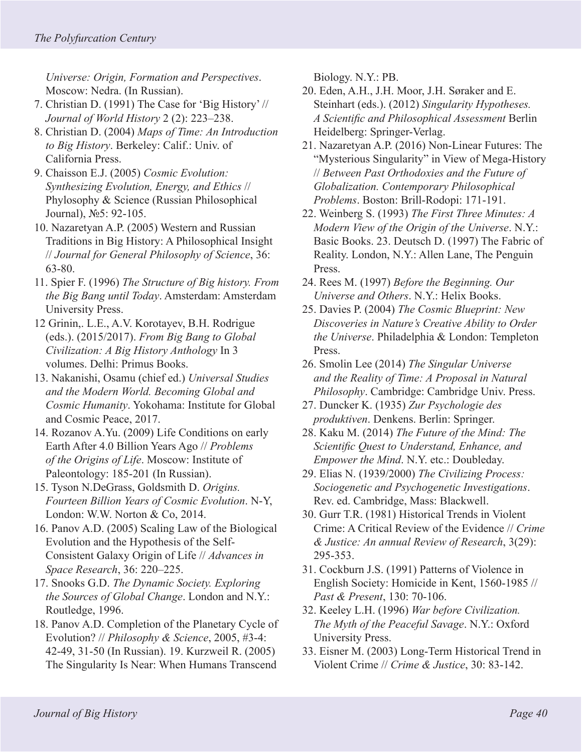*Universe: Origin, Formation and Perspectives*. Moscow: Nedra. (In Russian).

- 7. Christian D. (1991) The Case for 'Big History' // *Journal of World History* 2 (2): 223–238.
- 8. Christian D. (2004) *Maps of Time: An Introduction to Big History*. Berkeley: Calif.: Univ. of California Press.
- 9. Chaisson E.J. (2005) *Cosmic Evolution: Synthesizing Evolution, Energy, and Ethics* // Phylosophy & Science (Russian Philosophical Journal), №5: 92-105.
- 10. Nazaretyan A.P. (2005) Western and Russian Traditions in Big History: A Philosophical Insight // *Journal for General Philosophy of Science*, 36: 63-80.
- 11. Spier F. (1996) *The Structure of Big history. From the Big Bang until Today*. Amsterdam: Amsterdam University Press.
- 12 Grinin,. L.E., A.V. Korotayev, B.H. Rodrigue (eds.). (2015/2017). *From Big Bang to Global Civilization: A Big History Anthology* In 3 volumes. Delhi: Primus Books.
- 13. Nakanishi, Osamu (chief ed.) *Universal Studies and the Modern World. Becoming Global and Cosmic Humanity*. Yokohama: Institute for Global and Cosmic Peace, 2017.
- 14. Rozanov A.Yu. (2009) Life Conditions on early Earth After 4.0 Billion Years Ago // *Problems of the Origins of Life*. Moscow: Institute of Paleontology: 185-201 (In Russian).
- 15. Tyson N.DeGrass, Goldsmith D. *Origins. Fourteen Billion Years of Cosmic Evolution*. N-Y, London: W.W. Norton & Co, 2014.
- 16. Panov A.D. (2005) Scaling Law of the Biological Evolution and the Hypothesis of the Self-Consistent Galaxy Origin of Life // *Advances in Space Research*, 36: 220–225.
- 17. Snooks G.D. *The Dynamic Society. Exploring the Sources of Global Change*. London and N.Y.: Routledge, 1996.
- 18. Panov A.D. Completion of the Planetary Cycle of Evolution? // *Philosophy & Science*, 2005, #3-4: 42-49, 31-50 (In Russian). 19. Kurzweil R. (2005) The Singularity Is Near: When Humans Transcend

Biology. N.Y.: PB.

- 20. Eden, A.H., J.H. Moor, J.H. Søraker and E. Steinhart (eds.). (2012) *Singularity Hypotheses. A Scientific and Philosophical Assessment* Berlin Heidelberg: Springer-Verlag.
- 21. Nazaretyan A.P. (2016) Non-Linear Futures: The "Mysterious Singularity" in View of Mega-History // *Between Past Orthodoxies and the Future of Globalization. Contemporary Philosophical Problems*. Boston: Brill-Rodopi: 171-191.
- 22. Weinberg S. (1993) *The First Three Minutes: A Modern View of the Origin of the Universe*. N.Y.: Basic Books. 23. Deutsch D. (1997) The Fabric of Reality. London, N.Y.: Allen Lane, The Penguin Press.
- 24. Rees M. (1997) *Before the Beginning. Our Universe and Others*. N.Y.: Helix Books.
- 25. Davies P. (2004) *The Cosmic Blueprint: New Discoveries in Nature's Creative Ability to Order the Universe*. Philadelphia & London: Templeton Press.
- 26. Smolin Lee (2014) *The Singular Universe and the Reality of Time: A Proposal in Natural Philosophy*. Cambridge: Cambridge Univ. Press.
- 27. Duncker K. (1935) *Zur Psychologie des produktiven*. Denkens. Berlin: Springer.
- 28. Kaku M. (2014) *The Future of the Mind: The Scientific Quest to Understand, Enhance, and Empower the Mind*. N.Y. etc.: Doubleday.
- 29. Elias N. (1939/2000) *The Civilizing Process: Sociogenetic and Psychogenetic Investigations*. Rev. ed. Cambridge, Mass: Blackwell.
- 30. Gurr T.R. (1981) Historical Trends in Violent Crime: A Critical Review of the Evidence // *Crime & Justice: An annual Review of Research*, 3(29): 295-353.
- 31. Cockburn J.S. (1991) Patterns of Violence in English Society: Homicide in Kent, 1560-1985 // *Past & Present*, 130: 70-106.
- 32. Keeley L.H. (1996) *War before Civilization. The Myth of the Peaceful Savage*. N.Y.: Oxford University Press.
- 33. Eisner M. (2003) Long-Term Historical Trend in Violent Crime // *Crime & Justice*, 30: 83-142.